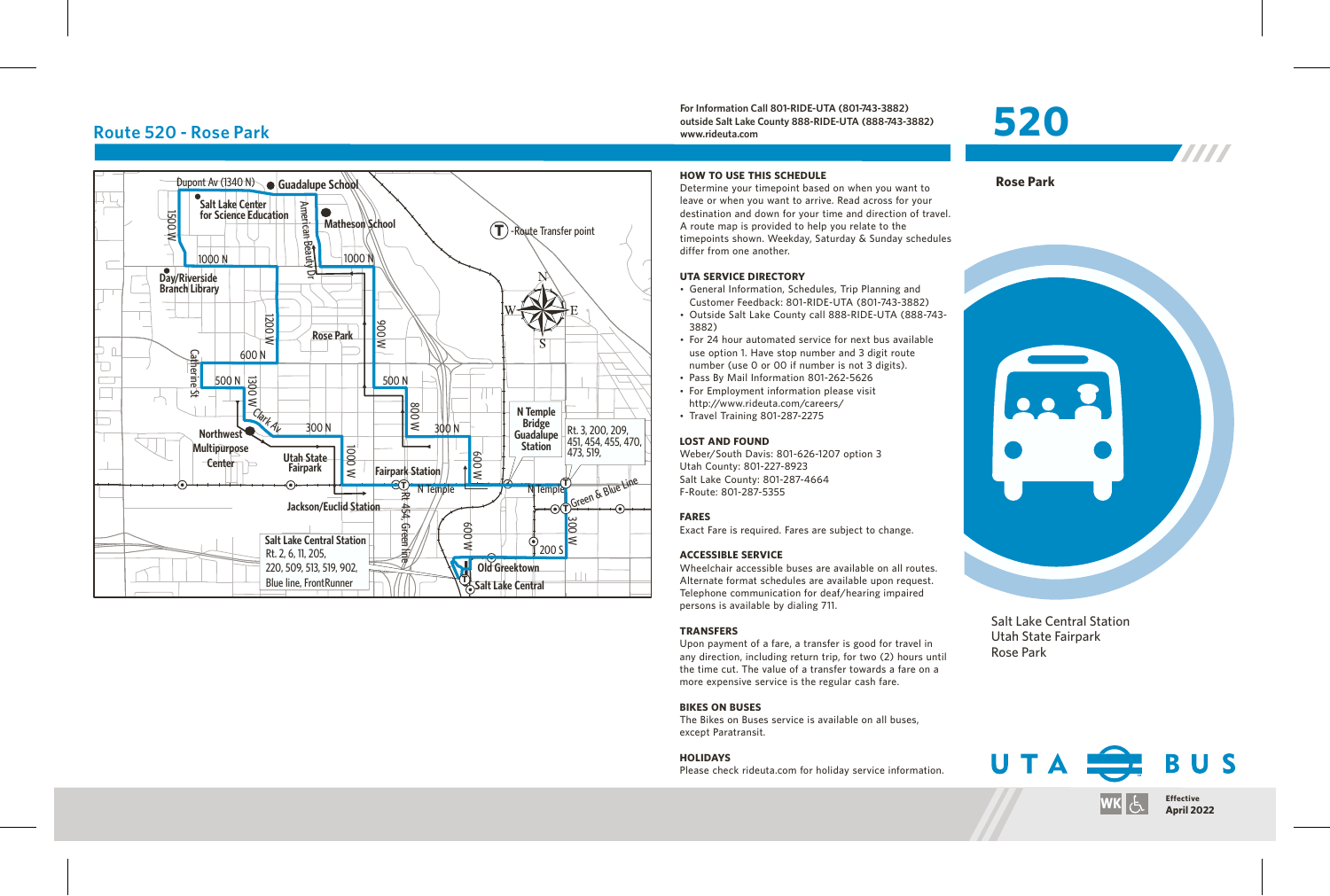# **Route 520 - Rose Park**



**For Information Call 801-RIDE-UTA (801-743-3882) outside Salt Lake County 888-RIDE-UTA (888-743-3882) www.rideuta.com**

# **520**

**Rose Park**



W

#### **HOW TO USE THIS SCHEDULE**

Determine your timepoint based on when you want to leave or when you want to arrive. Read across for your destination and down for your time and direction of travel. A route map is provided to help you relate to the timepoints shown. Weekday, Saturday & Sunday schedules differ from one another.

#### **UTA SERVICE DIRECTORY**

- General Information, Schedules, Trip Planning and Customer Feedback: 801-RIDE-UTA (801-743-3882)
- Outside Salt Lake County call 888-RIDE-UTA (888-743-3882)
- For 24 hour automated service for next bus available use option 1. Have stop number and 3 digit route number (use 0 or 00 if number is not 3 digits).
- Pass By Mail Information 801-262-5626
- For Employment information please visit http://www.rideuta.com/careers/
- $\cdot$  Travel Training 801-287-2275

#### **LOST AND FOUND**

Weber/South Davis: 801-626-1207 option 3 Utah County: 801-227-8923 Salt Lake County: 801-287-4664 F-Route: 801-287-5355

#### **FARES**

Exact Fare is required. Fares are subject to change.

#### **ACCESSIBLE SERVICE**

Wheelchair accessible buses are available on all routes. Alternate format schedules are available upon request. Telephone communication for deaf/hearing impaired persons is available by dialing 711.

#### **TRANSFERS**

Upon payment of a fare, a transfer is good for travel in any direction, including return trip, for two (2) hours until the time cut. The value of a transfer towards a fare on a more expensive service is the regular cash fare.

#### **BIKES ON BUSES**

The Bikes on Buses service is available on all buses, except Paratransit.

#### **HOLIDAYS**

Please check rideuta.com for holiday service information.



Salt Lake Central Station Utah State Fairpark Rose Park